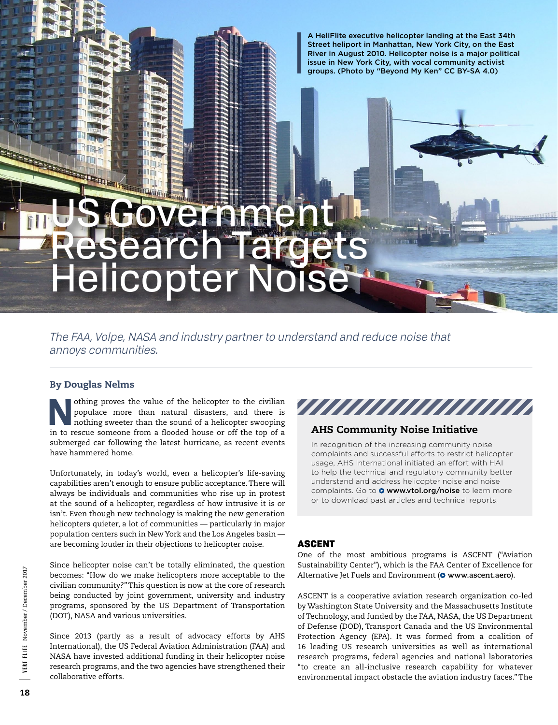A HeliFlite executive helicopter landing at the East 34th Street heliport in Manhattan, New York City, on the East River in August 2010. Helicopter noise is a major political issue in New York City, with vocal community activist groups. (Photo by "Beyond My Ken" CC BY-SA 4.0)

# OVernmen Research Targets Helicopter Noise

# *The FAA, Volpe, NASA and industry partner to understand and reduce noise that annoys communities.*

## By Douglas Nelms

**Nothing proves the value of the helicopter to the civilian populace more than natural disasters, and there is nothing sweeter than the sound of a helicopter swooping** populace more than natural disasters, and there is in to rescue someone from a flooded house or off the top of a submerged car following the latest hurricane, as recent events have hammered home.

Unfortunately, in today's world, even a helicopter's life-saving capabilities aren't enough to ensure public acceptance. There will always be individuals and communities who rise up in protest at the sound of a helicopter, regardless of how intrusive it is or isn't. Even though new technology is making the new generation helicopters quieter, a lot of communities — particularly in major population centers such in New York and the Los Angeles basin are becoming louder in their objections to helicopter noise.

Since helicopter noise can't be totally eliminated, the question becomes: "How do we make helicopters more acceptable to the civilian community?" This question is now at the core of research being conducted by joint government, university and industry programs, sponsored by the US Department of Transportation (DOT), NASA and various universities.

Since 2013 (partly as a result of advocacy efforts by AHS International), the US Federal Aviation Administration (FAA) and NASA have invested additional funding in their helicopter noise research programs, and the two agencies have strengthened their collaborative efforts.



## AHS Community Noise Initiative

In recognition of the increasing community noise complaints and successful efforts to restrict helicopter usage, AHS International initiated an effort with HAI to help the technical and regulatory community better understand and address helicopter noise and noise complaints. Go to **O** [www.vtol.org/noise](http://www.vtol.org/noise) to learn more or to download past articles and technical reports.

## ASCENT

One of the most ambitious programs is ASCENT ("Aviation Sustainability Center"), which is the FAA Center of Excellence for Alternative Jet Fuels and Environment (<sup>O</sup> www.ascent.aero).

ASCENT is a cooperative aviation research organization co-led by Washington State University and the Massachusetts Institute of Technology, and funded by the FAA, NASA, the US Department of Defense (DOD), Transport Canada and the US Environmental Protection Agency (EPA). It was formed from a coalition of 16 leading US research universities as well as international research programs, federal agencies and national laboratories "to create an all-inclusive research capability for whatever environmental impact obstacle the aviation industry faces." The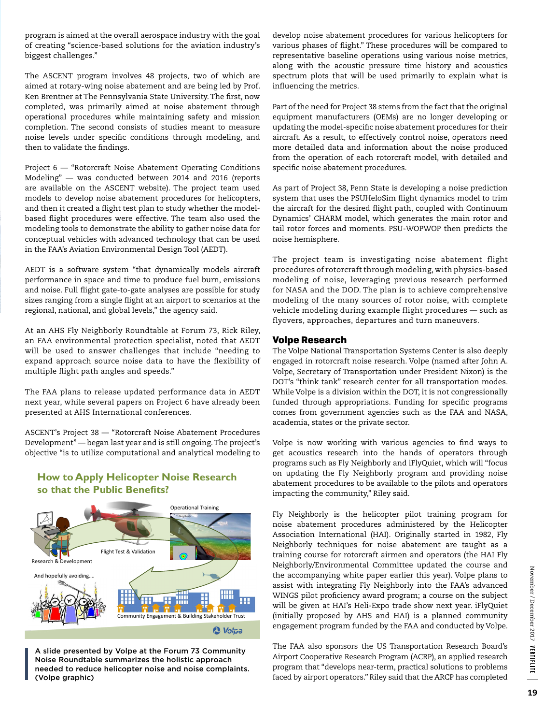program is aimed at the overall aerospace industry with the goal of creating "science-based solutions for the aviation industry's biggest challenges."

The ASCENT program involves 48 projects, two of which are aimed at rotary-wing noise abatement and are being led by Prof. Ken Brentner at The Pennsylvania State University. The first, now completed, was primarily aimed at noise abatement through operational procedures while maintaining safety and mission completion. The second consists of studies meant to measure noise levels under specific conditions through modeling, and then to validate the findings.

Project 6 — "Rotorcraft Noise Abatement Operating Conditions Modeling" — was conducted between 2014 and 2016 (reports are available on the ASCENT website). The project team used models to develop noise abatement procedures for helicopters, and then it created a flight test plan to study whether the modelbased flight procedures were effective. The team also used the modeling tools to demonstrate the ability to gather noise data for conceptual vehicles with advanced technology that can be used in the FAA's Aviation Environmental Design Tool (AEDT).

AEDT is a software system "that dynamically models aircraft performance in space and time to produce fuel burn, emissions and noise. Full flight gate-to-gate analyses are possible for study sizes ranging from a single flight at an airport to scenarios at the regional, national, and global levels," the agency said.

At an AHS Fly Neighborly Roundtable at Forum 73, Rick Riley, an FAA environmental protection specialist, noted that AEDT will be used to answer challenges that include "needing to expand approach source noise data to have the flexibility of multiple flight path angles and speeds."

The FAA plans to release updated performance data in AEDT next year, while several papers on Project 6 have already been presented at AHS International conferences.

ASCENT's Project 38 — "Rotorcraft Noise Abatement Procedures Development" — began last year and is still ongoing. The project's objective "is to utilize computational and analytical modeling to

## **How to Apply Helicopter Noise Research so that the Public Benefits?**



A slide presented by Volpe at the Forum 73 Community Noise Roundtable summarizes the holistic approach needed to reduce helicopter noise and noise complaints. (Volpe graphic)

develop noise abatement procedures for various helicopters for various phases of flight." These procedures will be compared to representative baseline operations using various noise metrics, along with the acoustic pressure time history and acoustics spectrum plots that will be used primarily to explain what is influencing the metrics.

Part of the need for Project 38 stems from the fact that the original equipment manufacturers (OEMs) are no longer developing or updating the model-specific noise abatement procedures for their aircraft. As a result, to effectively control noise, operators need more detailed data and information about the noise produced from the operation of each rotorcraft model, with detailed and specific noise abatement procedures.

As part of Project 38, Penn State is developing a noise prediction system that uses the PSUHeloSim flight dynamics model to trim the aircraft for the desired flight path, coupled with Continuum Dynamics' CHARM model, which generates the main rotor and tail rotor forces and moments. PSU-WOPWOP then predicts the noise hemisphere.

The project team is investigating noise abatement flight procedures of rotorcraft through modeling, with physics-based modeling of noise, leveraging previous research performed for NASA and the DOD. The plan is to achieve comprehensive modeling of the many sources of rotor noise, with complete vehicle modeling during example flight procedures — such as flyovers, approaches, departures and turn maneuvers.

#### Volpe Research

The Volpe National Transportation Systems Center is also deeply engaged in rotorcraft noise research. Volpe (named after John A. Volpe, Secretary of Transportation under President Nixon) is the DOT's "think tank" research center for all transportation modes. While Volpe is a division within the DOT, it is not congressionally funded through appropriations. Funding for specific programs comes from government agencies such as the FAA and NASA, academia, states or the private sector.

Volpe is now working with various agencies to find ways to get acoustics research into the hands of operators through programs such as Fly Neighborly and iFlyQuiet, which will "focus on updating the Fly Neighborly program and providing noise abatement procedures to be available to the pilots and operators impacting the community," Riley said.

Fly Neighborly is the helicopter pilot training program for noise abatement procedures administered by the Helicopter Association International (HAI). Originally started in 1982, Fly Neighborly techniques for noise abatement are taught as a training course for rotorcraft airmen and operators (the HAI Fly Neighborly/Environmental Committee updated the course and the accompanying white paper earlier this year). Volpe plans to assist with integrating Fly Neighborly into the FAA's advanced WINGS pilot proficiency award program; a course on the subject will be given at HAI's Heli-Expo trade show next year. iFlyQuiet (initially proposed by AHS and HAI) is a planned community engagement program funded by the FAA and conducted by Volpe.

The FAA also sponsors the US Transportation Research Board's Airport Cooperative Research Program (ACRP), an applied research program that "develops near-term, practical solutions to problems faced by airport operators." Riley said that the ARCP has completed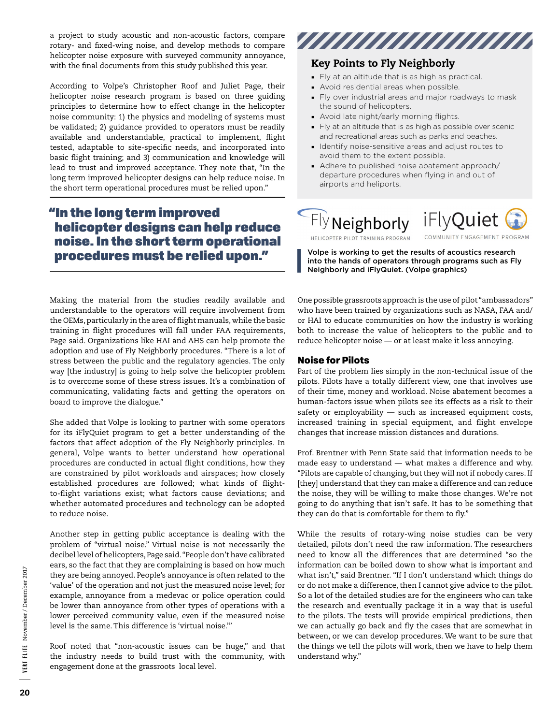a project to study acoustic and non-acoustic factors, compare rotary- and fixed-wing noise, and develop methods to compare helicopter noise exposure with surveyed community annoyance, with the final documents from this study published this year.

According to Volpe's Christopher Roof and Juliet Page, their helicopter noise research program is based on three guiding principles to determine how to effect change in the helicopter noise community: 1) the physics and modeling of systems must be validated; 2) guidance provided to operators must be readily available and understandable, practical to implement, flight tested, adaptable to site-specific needs, and incorporated into basic flight training; and 3) communication and knowledge will lead to trust and improved acceptance. They note that, "In the long term improved helicopter designs can help reduce noise. In the short term operational procedures must be relied upon."

# "In the long term improved helicopter designs can help reduce noise. In the short term operational procedures must be relied upon."

Making the material from the studies readily available and understandable to the operators will require involvement from the OEMs, particularly in the area of flight manuals, while the basic training in flight procedures will fall under FAA requirements, Page said. Organizations like HAI and AHS can help promote the adoption and use of Fly Neighborly procedures. "There is a lot of stress between the public and the regulatory agencies. The only way [the industry] is going to help solve the helicopter problem is to overcome some of these stress issues. It's a combination of communicating, validating facts and getting the operators on board to improve the dialogue."

She added that Volpe is looking to partner with some operators for its iFlyQuiet program to get a better understanding of the factors that affect adoption of the Fly Neighborly principles. In general, Volpe wants to better understand how operational procedures are conducted in actual flight conditions, how they are constrained by pilot workloads and airspaces; how closely established procedures are followed; what kinds of flightto-flight variations exist; what factors cause deviations; and whether automated procedures and technology can be adopted to reduce noise.

Another step in getting public acceptance is dealing with the problem of "virtual noise." Virtual noise is not necessarily the decibel level of helicopters, Page said. "People don't have calibrated ears, so the fact that they are complaining is based on how much they are being annoyed. People's annoyance is often related to the 'value' of the operation and not just the measured noise level; for example, annoyance from a medevac or police operation could be lower than annoyance from other types of operations with a lower perceived community value, even if the measured noise level is the same. This difference is 'virtual noise.'"

Roof noted that "non-acoustic issues can be huge," and that the industry needs to build trust with the community, with engagement done at the grassroots local level.



# Key Points to Fly Neighborly

- Fly at an altitude that is as high as practical.
- Avoid residential areas when possible.
- Fly over industrial areas and major roadways to mask the sound of helicopters.
- Avoid late night/early morning flights.
- Fly at an altitude that is as high as possible over scenic and recreational areas such as parks and beaches.
- Identify noise-sensitive areas and adjust routes to avoid them to the extent possible.
- Adhere to published noise abatement approach/ departure procedures when flying in and out of airports and heliports.

Fly Neighborly iFlyQuiet COMMUNITY ENGAGEMENT PROGRAM HELICOPTER PILOT TRAINING PROGRAM

Volpe is working to get the results of acoustics research into the hands of operators through programs such as Fly Neighborly and iFlyQuiet. (Volpe graphics)

One possible grassroots approach is the use of pilot "ambassadors" who have been trained by organizations such as NASA, FAA and/ or HAI to educate communities on how the industry is working both to increase the value of helicopters to the public and to reduce helicopter noise — or at least make it less annoying.

## Noise for Pilots

Part of the problem lies simply in the non-technical issue of the pilots. Pilots have a totally different view, one that involves use of their time, money and workload. Noise abatement becomes a human-factors issue when pilots see its effects as a risk to their safety or employability — such as increased equipment costs, increased training in special equipment, and flight envelope changes that increase mission distances and durations.

Prof. Brentner with Penn State said that information needs to be made easy to understand — what makes a difference and why. "Pilots are capable of changing, but they will not if nobody cares. If [they] understand that they can make a difference and can reduce the noise, they will be willing to make those changes. We're not going to do anything that isn't safe. It has to be something that they can do that is comfortable for them to fly."

While the results of rotary-wing noise studies can be very detailed, pilots don't need the raw information. The researchers need to know all the differences that are determined "so the information can be boiled down to show what is important and what isn't," said Brentner. "If I don't understand which things do or do not make a difference, then I cannot give advice to the pilot. So a lot of the detailed studies are for the engineers who can take the research and eventually package it in a way that is useful to the pilots. The tests will provide empirical predictions, then we can actually go back and fly the cases that are somewhat in between, or we can develop procedures. We want to be sure that the things we tell the pilots will work, then we have to help them understand why."